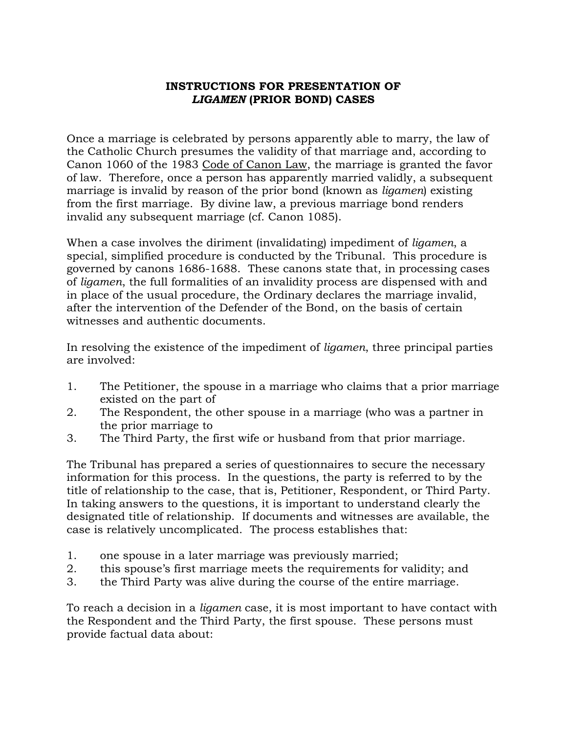## **INSTRUCTIONS FOR PRESENTATION OF**  *LIGAMEN* **(PRIOR BOND) CASES**

Once a marriage is celebrated by persons apparently able to marry, the law of the Catholic Church presumes the validity of that marriage and, according to Canon 1060 of the 1983 Code of Canon Law, the marriage is granted the favor of law. Therefore, once a person has apparently married validly, a subsequent marriage is invalid by reason of the prior bond (known as *ligamen*) existing from the first marriage. By divine law, a previous marriage bond renders invalid any subsequent marriage (cf. Canon 1085).

When a case involves the diriment (invalidating) impediment of *ligamen*, a special, simplified procedure is conducted by the Tribunal. This procedure is governed by canons 1686-1688. These canons state that, in processing cases of *ligamen*, the full formalities of an invalidity process are dispensed with and in place of the usual procedure, the Ordinary declares the marriage invalid, after the intervention of the Defender of the Bond, on the basis of certain witnesses and authentic documents.

In resolving the existence of the impediment of *ligamen*, three principal parties are involved:

- 1. The Petitioner, the spouse in a marriage who claims that a prior marriage existed on the part of
- 2. The Respondent, the other spouse in a marriage (who was a partner in the prior marriage to
- 3. The Third Party, the first wife or husband from that prior marriage.

The Tribunal has prepared a series of questionnaires to secure the necessary information for this process. In the questions, the party is referred to by the title of relationship to the case, that is, Petitioner, Respondent, or Third Party. In taking answers to the questions, it is important to understand clearly the designated title of relationship. If documents and witnesses are available, the case is relatively uncomplicated. The process establishes that:

- 1. one spouse in a later marriage was previously married;
- 2. this spouse's first marriage meets the requirements for validity; and
- 3. the Third Party was alive during the course of the entire marriage.

To reach a decision in a *ligamen* case, it is most important to have contact with the Respondent and the Third Party, the first spouse. These persons must provide factual data about: